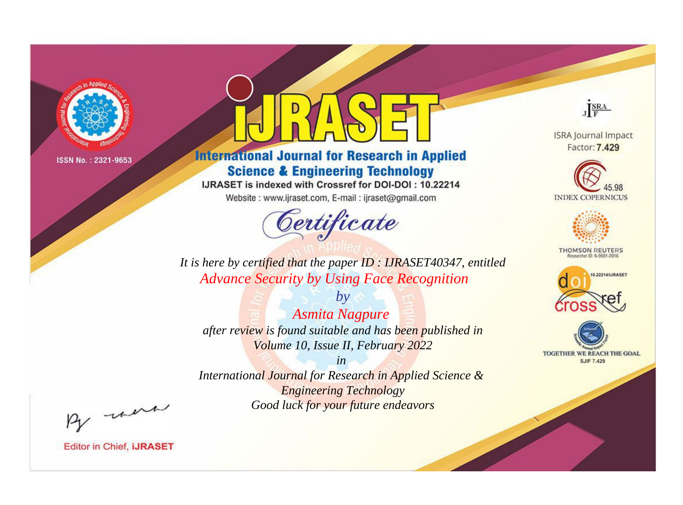

# **International Journal for Research in Applied Science & Engineering Technology**

IJRASET is indexed with Crossref for DOI-DOI: 10.22214

Website: www.ijraset.com, E-mail: ijraset@gmail.com



JERA

**ISRA Journal Impact** Factor: 7.429





**THOMSON REUTERS** 



TOGETHER WE REACH THE GOAL **SJIF 7.429** 

It is here by certified that the paper ID: IJRASET40347, entitled **Advance Security by Using Face Recognition** 

**Asmita Nagpure** after review is found suitable and has been published in Volume 10, Issue II, February 2022

 $b\nu$ 

 $in$ International Journal for Research in Applied Science & **Engineering Technology** Good luck for your future endeavors

By morn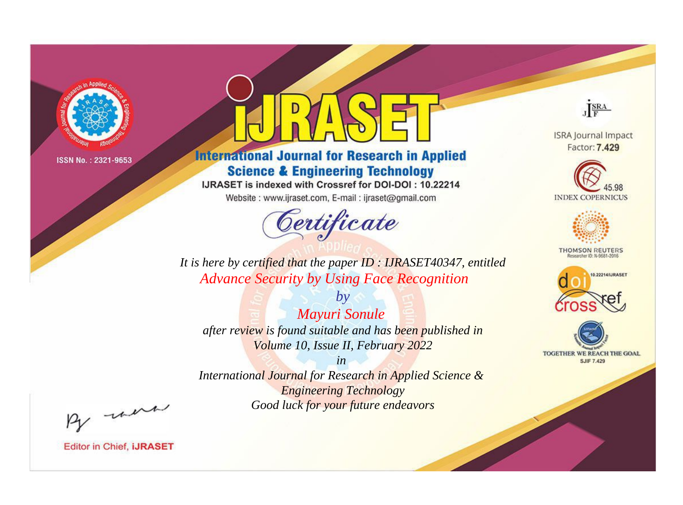

# **International Journal for Research in Applied Science & Engineering Technology**

IJRASET is indexed with Crossref for DOI-DOI: 10.22214

Website: www.ijraset.com, E-mail: ijraset@gmail.com



JERA

**ISRA Journal Impact** Factor: 7.429





**THOMSON REUTERS** 



TOGETHER WE REACH THE GOAL **SJIF 7.429** 

It is here by certified that the paper ID: IJRASET40347, entitled **Advance Security by Using Face Recognition** 

 $by$ **Mayuri Sonule** after review is found suitable and has been published in Volume 10, Issue II, February 2022

 $in$ International Journal for Research in Applied Science & **Engineering Technology** Good luck for your future endeavors

By morn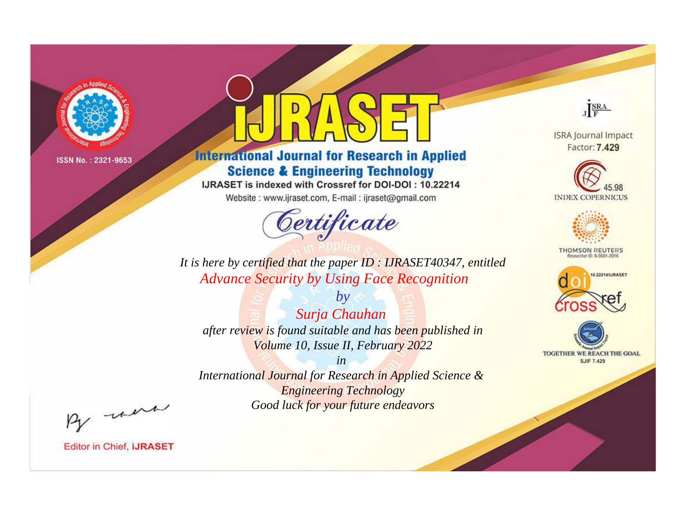

# **International Journal for Research in Applied Science & Engineering Technology**

IJRASET is indexed with Crossref for DOI-DOI: 10.22214

Website: www.ijraset.com, E-mail: ijraset@gmail.com



JERA

**ISRA Journal Impact** Factor: 7.429





**THOMSON REUTERS** 



TOGETHER WE REACH THE GOAL **SJIF 7.429** 

It is here by certified that the paper ID: IJRASET40347, entitled **Advance Security by Using Face Recognition** 

 $by$ Surja Chauhan after review is found suitable and has been published in Volume 10, Issue II, February 2022

 $in$ International Journal for Research in Applied Science & **Engineering Technology** Good luck for your future endeavors

By morn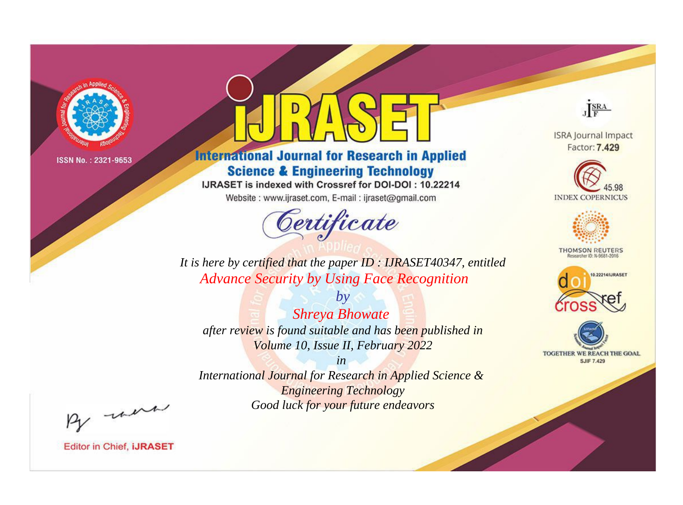

# **International Journal for Research in Applied Science & Engineering Technology**

IJRASET is indexed with Crossref for DOI-DOI: 10.22214

Website: www.ijraset.com, E-mail: ijraset@gmail.com



JERA

**ISRA Journal Impact** Factor: 7.429





**THOMSON REUTERS** 



TOGETHER WE REACH THE GOAL **SJIF 7.429** 

It is here by certified that the paper ID: IJRASET40347, entitled **Advance Security by Using Face Recognition** 

 $by$ **Shreya Bhowate** after review is found suitable and has been published in Volume 10, Issue II, February 2022

 $in$ International Journal for Research in Applied Science & **Engineering Technology** Good luck for your future endeavors

By morn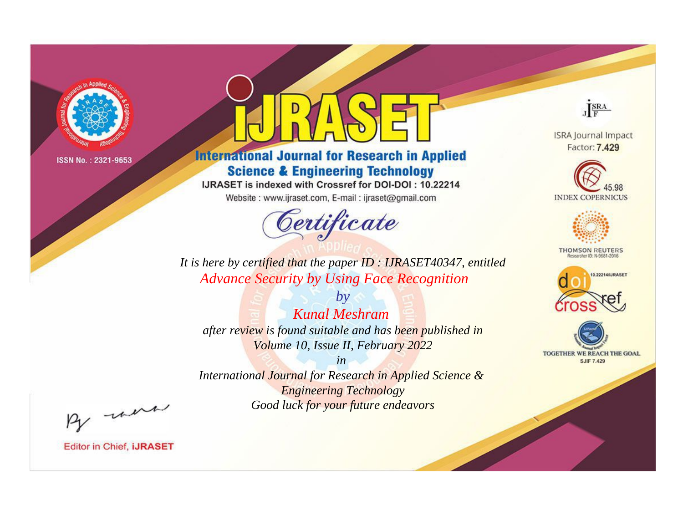

# **International Journal for Research in Applied Science & Engineering Technology**

IJRASET is indexed with Crossref for DOI-DOI: 10.22214

Website: www.ijraset.com, E-mail: ijraset@gmail.com



JERA

**ISRA Journal Impact** Factor: 7.429





**THOMSON REUTERS** 



TOGETHER WE REACH THE GOAL **SJIF 7.429** 

It is here by certified that the paper ID: IJRASET40347, entitled **Advance Security by Using Face Recognition** 

 $b\nu$ **Kunal Meshram** after review is found suitable and has been published in Volume 10, Issue II, February 2022

 $in$ International Journal for Research in Applied Science & **Engineering Technology** Good luck for your future endeavors

By morn